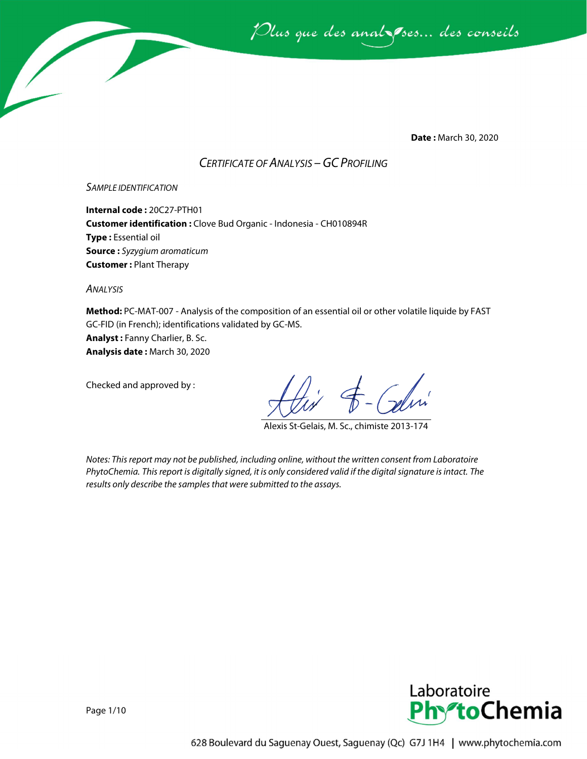

**Date :** March 30, 2020

## *CERTIFICATE OF ANALYSIS –GC PROFILING*

#### *SAMPLE IDENTIFICATION*

**Internal code :** 20C27-PTH01 **Customer identification :** Clove Bud Organic - Indonesia - CH010894R **Type :** Essential oil **Source :** *Syzygium aromaticum* **Customer :** Plant Therapy

*ANALYSIS*

**Method:** PC-MAT-007 - Analysis of the composition of an essential oil or other volatile liquide by FAST GC-FID (in French); identifications validated by GC-MS.

**Analyst :** Fanny Charlier, B. Sc. **Analysis date :** March 30, 2020

Checked and approved by :

Alexis St-Gelais, M. Sc., chimiste 2013-174

*Notes: This report may not be published, including online, without the written consent from Laboratoire PhytoChemia. This report is digitally signed, it is only considered valid if the digital signature is intact. The results only describe the samples that were submitted to the assays.*

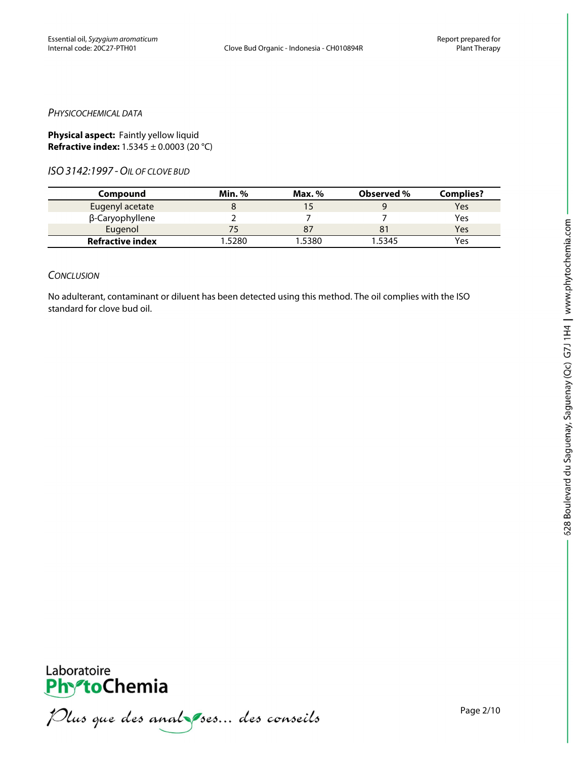#### *PHYSICOCHEMICAL DATA*

**Physical aspect:** Faintly yellow liquid **Refractive index:** 1.5345 ± 0.0003 (20 °C)

*ISO3142:1997 -OIL OF CLOVE BUD*

| Compound                | <b>Min.</b> % | Max. $%$ | Observed % | <b>Complies?</b> |
|-------------------------|---------------|----------|------------|------------------|
| Eugenyl acetate         |               |          |            | Yes              |
| β-Caryophyllene         |               |          |            | Yes              |
| Eugenol                 |               |          |            | Yes              |
| <b>Refractive index</b> | '.5280        | 1.5380   | 1.5345     | Yes              |

#### *CONCLUSION*

No adulterant, contaminant or diluent has been detected using this method. The oil complies with the ISO standard for clove bud oil.



**PhroChemia**<br>*PhroChemia*<br>*Plus que des anal pres... des conseils*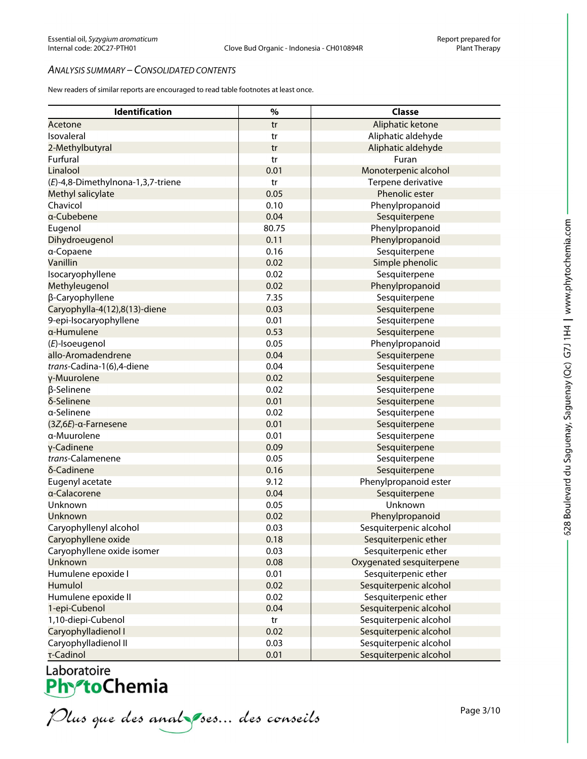### *ANALYSIS SUMMARY – CONSOLIDATED CONTENTS*

New readers of similar reports are encouraged to read table footnotes at least once.

| <b>Identification</b>             | $\%$  | <b>Classe</b>            |
|-----------------------------------|-------|--------------------------|
| Acetone                           | tr    | Aliphatic ketone         |
| Isovaleral                        | tr    | Aliphatic aldehyde       |
| 2-Methylbutyral                   | tr    | Aliphatic aldehyde       |
| Furfural                          | tr    | Furan                    |
| Linalool                          | 0.01  | Monoterpenic alcohol     |
| (E)-4,8-Dimethylnona-1,3,7-triene | tr    | Terpene derivative       |
| Methyl salicylate                 | 0.05  | Phenolic ester           |
| Chavicol                          | 0.10  | Phenylpropanoid          |
| a-Cubebene                        | 0.04  | Sesquiterpene            |
| Eugenol                           | 80.75 | Phenylpropanoid          |
| Dihydroeugenol                    | 0.11  | Phenylpropanoid          |
| a-Copaene                         | 0.16  | Sesquiterpene            |
| Vanillin                          | 0.02  | Simple phenolic          |
| Isocaryophyllene                  | 0.02  | Sesquiterpene            |
| Methyleugenol                     | 0.02  | Phenylpropanoid          |
| β-Caryophyllene                   | 7.35  | Sesquiterpene            |
| Caryophylla-4(12),8(13)-diene     | 0.03  | Sesquiterpene            |
| 9-epi-Isocaryophyllene            | 0.01  | Sesquiterpene            |
| a-Humulene                        | 0.53  | Sesquiterpene            |
| (E)-Isoeugenol                    | 0.05  | Phenylpropanoid          |
| allo-Aromadendrene                | 0.04  | Sesquiterpene            |
| trans-Cadina-1(6),4-diene         | 0.04  | Sesquiterpene            |
| y-Muurolene                       | 0.02  | Sesquiterpene            |
| β-Selinene                        | 0.02  | Sesquiterpene            |
| δ-Selinene                        | 0.01  | Sesquiterpene            |
| a-Selinene                        | 0.02  | Sesquiterpene            |
| (3Z, 6E)-α-Farnesene              | 0.01  | Sesquiterpene            |
| α-Muurolene                       | 0.01  | Sesquiterpene            |
| γ-Cadinene                        | 0.09  | Sesquiterpene            |
| trans-Calamenene                  | 0.05  | Sesquiterpene            |
| δ-Cadinene                        | 0.16  | Sesquiterpene            |
| Eugenyl acetate                   | 9.12  | Phenylpropanoid ester    |
| a-Calacorene                      | 0.04  | Sesquiterpene            |
| Unknown                           | 0.05  | Unknown                  |
| Unknown                           | 0.02  | Phenylpropanoid          |
| Caryophyllenyl alcohol            | 0.03  | Sesquiterpenic alcohol   |
| Caryophyllene oxide               | 0.18  | Sesquiterpenic ether     |
| Caryophyllene oxide isomer        | 0.03  | Sesquiterpenic ether     |
| Unknown                           | 0.08  | Oxygenated sesquiterpene |
| Humulene epoxide I                | 0.01  | Sesquiterpenic ether     |
| Humulol                           | 0.02  | Sesquiterpenic alcohol   |
| Humulene epoxide II               | 0.02  | Sesquiterpenic ether     |
| 1-epi-Cubenol                     | 0.04  | Sesquiterpenic alcohol   |
| 1,10-diepi-Cubenol                | tr    | Sesquiterpenic alcohol   |
| Caryophylladienol I               | 0.02  | Sesquiterpenic alcohol   |
| Caryophylladienol II              | 0.03  | Sesquiterpenic alcohol   |
| τ-Cadinol                         | 0.01  | Sesquiterpenic alcohol   |

Laboratoire<br>PhytoChemia<br>*Plus que des analyses... des conseils*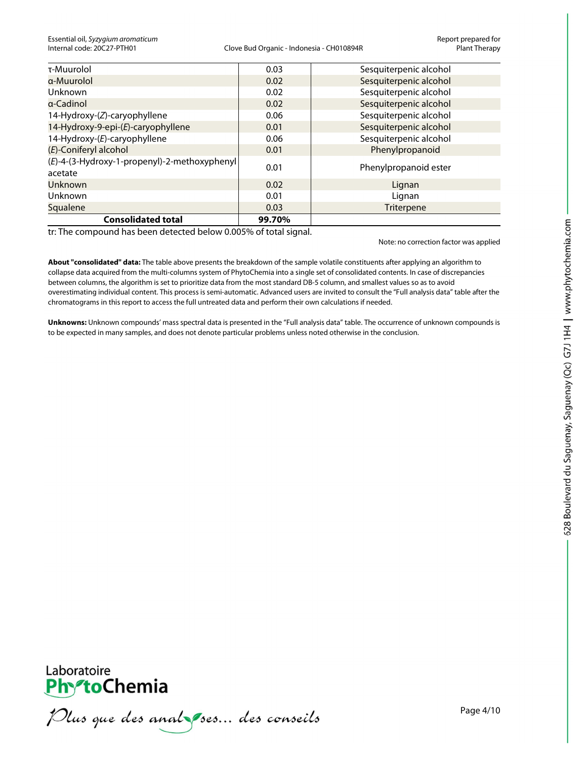| τ-Muurolol                                              | 0.03   | Sesquiterpenic alcohol |
|---------------------------------------------------------|--------|------------------------|
| a-Muurolol                                              | 0.02   | Sesquiterpenic alcohol |
| Unknown                                                 | 0.02   | Sesquiterpenic alcohol |
| a-Cadinol                                               | 0.02   | Sesquiterpenic alcohol |
| 14-Hydroxy-(Z)-caryophyllene                            | 0.06   | Sesquiterpenic alcohol |
| 14-Hydroxy-9-epi-(E)-caryophyllene                      | 0.01   | Sesquiterpenic alcohol |
| 14-Hydroxy-(E)-caryophyllene                            | 0.06   | Sesquiterpenic alcohol |
| (E)-Coniferyl alcohol                                   | 0.01   | Phenylpropanoid        |
| (E)-4-(3-Hydroxy-1-propenyl)-2-methoxyphenyl<br>acetate | 0.01   | Phenylpropanoid ester  |
| <b>Unknown</b>                                          | 0.02   | Lignan                 |
| Unknown                                                 | 0.01   | Lignan                 |
| Squalene                                                | 0.03   | <b>Triterpene</b>      |
| <b>Consolidated total</b>                               | 99.70% |                        |

tr: The compound has been detected below 0.005% of total signal.

Note: no correction factor was applied

**About "consolidated" data:** The table above presents the breakdown of the sample volatile constituents after applying an algorithm to collapse data acquired from the multi-columns system of PhytoChemia into a single set of consolidated contents. In case of discrepancies between columns, the algorithm is set to prioritize data from the most standard DB-5 column, and smallest values so as to avoid overestimating individual content. This process is semi-automatic. Advanced users are invited to consult the "Full analysis data" table after the chromatograms in this report to access the full untreated data and perform their own calculations if needed.

**Unknowns:** Unknown compounds' mass spectral data is presented in the "Full analysis data" table. The occurrence of unknown compounds is to be expected in many samples, and does not denote particular problems unless noted otherwise in the conclusion.



Phronone<br>Phrononia<br>*Plus que des anal pres... des conseils*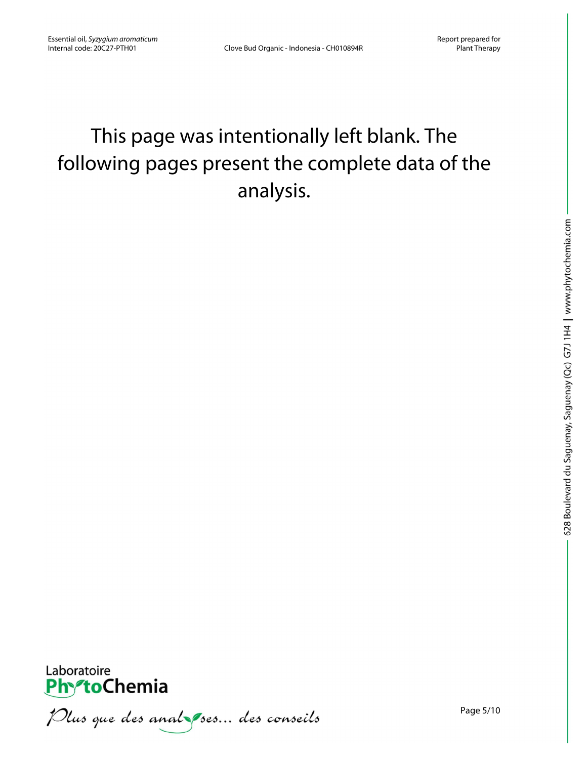# This page was intentionally left blank. The following pages present the complete data of the analysis.



Plus que des analzes... des conseils

Page 5/10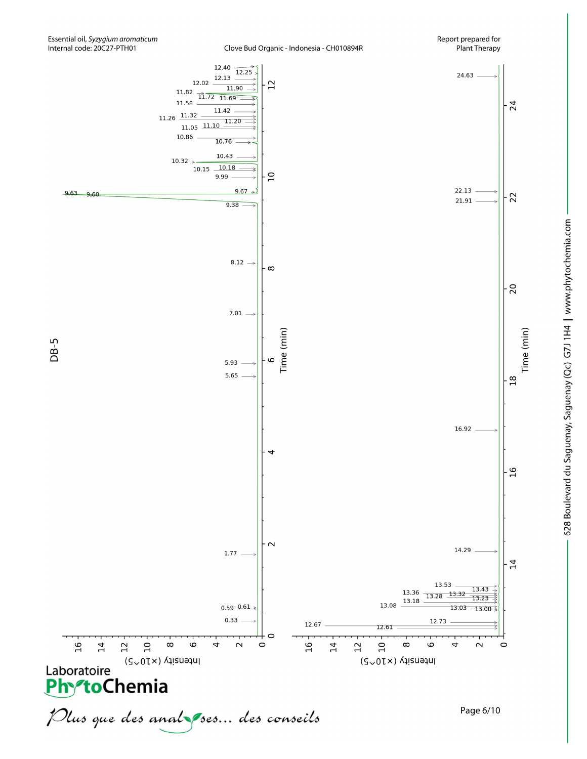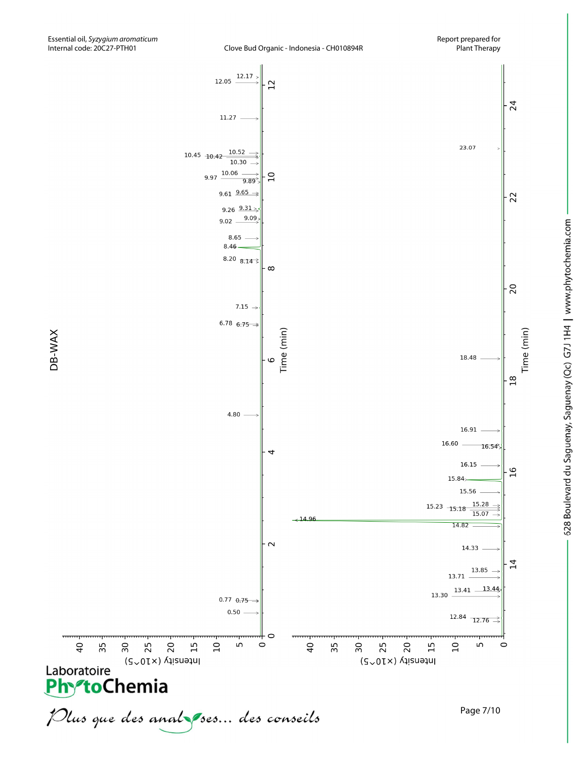

DB-WAX

628 Boulevard du Saguenay, Saguenay (Qc) G7J 1H4 | www.phytochemia.com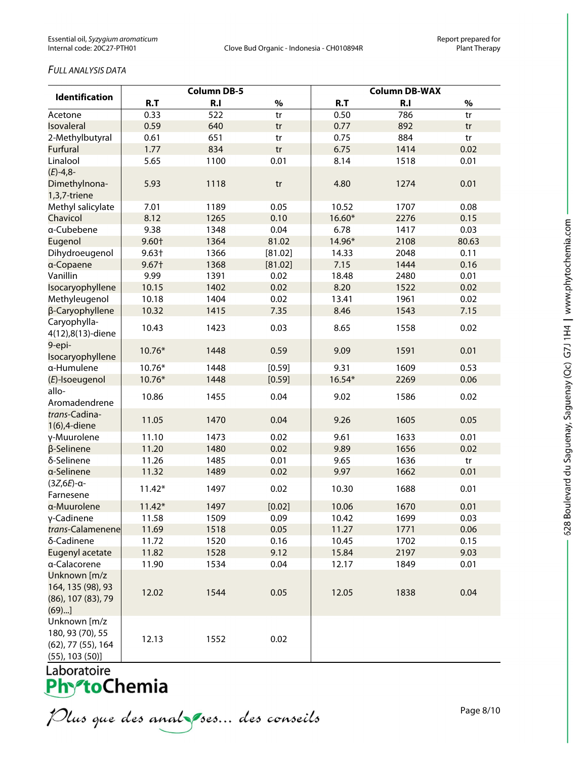## *FULL ANALYSIS DATA*

|                                                                                 | <b>Column DB-5</b> |      |         | <b>Column DB-WAX</b> |      |       |
|---------------------------------------------------------------------------------|--------------------|------|---------|----------------------|------|-------|
| <b>Identification</b>                                                           | R.T                | R.I  | $\%$    | R.T                  | R.I  | $\%$  |
| Acetone                                                                         | 0.33               | 522  | tr      | 0.50                 | 786  | tr    |
| Isovaleral                                                                      | 0.59               | 640  | tr      | 0.77                 | 892  | tr    |
| 2-Methylbutyral                                                                 | 0.61               | 651  | tr      | 0.75                 | 884  | tr    |
| <b>Furfural</b>                                                                 | 1.77               | 834  | tr      | 6.75                 | 1414 | 0.02  |
| Linalool                                                                        | 5.65               | 1100 | 0.01    | 8.14                 | 1518 | 0.01  |
| $(E) - 4,8$ -                                                                   |                    |      |         |                      |      |       |
| Dimethylnona-<br>1,3,7-triene                                                   | 5.93               | 1118 | tr      | 4.80                 | 1274 | 0.01  |
| Methyl salicylate                                                               | 7.01               | 1189 | 0.05    | 10.52                | 1707 | 0.08  |
| Chavicol                                                                        | 8.12               | 1265 | 0.10    | 16.60*               | 2276 | 0.15  |
| a-Cubebene                                                                      | 9.38               | 1348 | 0.04    | 6.78                 | 1417 | 0.03  |
| Eugenol                                                                         | 9.60+              | 1364 | 81.02   | 14.96*               | 2108 | 80.63 |
| Dihydroeugenol                                                                  | $9.63+$            | 1366 | [81.02] | 14.33                | 2048 | 0.11  |
| a-Copaene                                                                       | $9.67+$            | 1368 | [81.02] | 7.15                 | 1444 | 0.16  |
| Vanillin                                                                        | 9.99               | 1391 | 0.02    | 18.48                | 2480 | 0.01  |
| Isocaryophyllene                                                                | 10.15              | 1402 | 0.02    | 8.20                 | 1522 | 0.02  |
| Methyleugenol                                                                   | 10.18              | 1404 | 0.02    | 13.41                | 1961 | 0.02  |
| β-Caryophyllene                                                                 | 10.32              | 1415 | 7.35    | 8.46                 | 1543 | 7.15  |
| Caryophylla-<br>4(12),8(13)-diene                                               | 10.43              | 1423 | 0.03    | 8.65                 | 1558 | 0.02  |
| 9-epi-<br>Isocaryophyllene                                                      | 10.76*             | 1448 | 0.59    | 9.09                 | 1591 | 0.01  |
| a-Humulene                                                                      | 10.76*             | 1448 | [0.59]  | 9.31                 | 1609 | 0.53  |
| (E)-Isoeugenol<br>allo-                                                         | 10.76*             | 1448 | [0.59]  | 16.54*               | 2269 | 0.06  |
| Aromadendrene<br>trans-Cadina-                                                  | 10.86              | 1455 | 0.04    | 9.02                 | 1586 | 0.02  |
| 1(6), 4-diene                                                                   | 11.05              | 1470 | 0.04    | 9.26                 | 1605 | 0.05  |
| γ-Muurolene                                                                     | 11.10              | 1473 | 0.02    | 9.61                 | 1633 | 0.01  |
| β-Selinene                                                                      | 11.20              | 1480 | 0.02    | 9.89                 | 1656 | 0.02  |
| δ-Selinene                                                                      | 11.26              | 1485 | 0.01    | 9.65                 | 1636 | tr    |
| a-Selinene                                                                      | 11.32              | 1489 | 0.02    | 9.97                 | 1662 | 0.01  |
| $(3Z, 6E)$ -a-<br>Farnesene                                                     | $11.42*$           | 1497 | 0.02    | 10.30                | 1688 | 0.01  |
| a-Muurolene                                                                     | $11.42*$           | 1497 | [0.02]  | 10.06                | 1670 | 0.01  |
| γ-Cadinene                                                                      | 11.58              | 1509 | 0.09    | 10.42                | 1699 | 0.03  |
| trans-Calamenene                                                                | 11.69              | 1518 | 0.05    | 11.27                | 1771 | 0.06  |
| δ-Cadinene                                                                      | 11.72              | 1520 | 0.16    | 10.45                | 1702 | 0.15  |
| Eugenyl acetate                                                                 | 11.82              | 1528 | 9.12    | 15.84                | 2197 | 9.03  |
| a-Calacorene                                                                    | 11.90              | 1534 | 0.04    | 12.17                | 1849 | 0.01  |
| Unknown [m/z<br>164, 135 (98), 93<br>(86), 107 (83), 79<br>(69)                 | 12.02              | 1544 | 0.05    | 12.05                | 1838 | 0.04  |
| Unknown [m/z<br>180, 93 (70), 55<br>(62), 77 (55), 164<br>$(55)$ , 103 $(50)$ ] | 12.13              | 1552 | 0.02    |                      |      |       |

Laboratoire<br>**Phy<sup>s</sup>toChemia** 

628 Boulevard du Saguenay, Saguenay (Qc) G7J 1H4 | www.phytochemia.com

Plus que des analzes... des conseils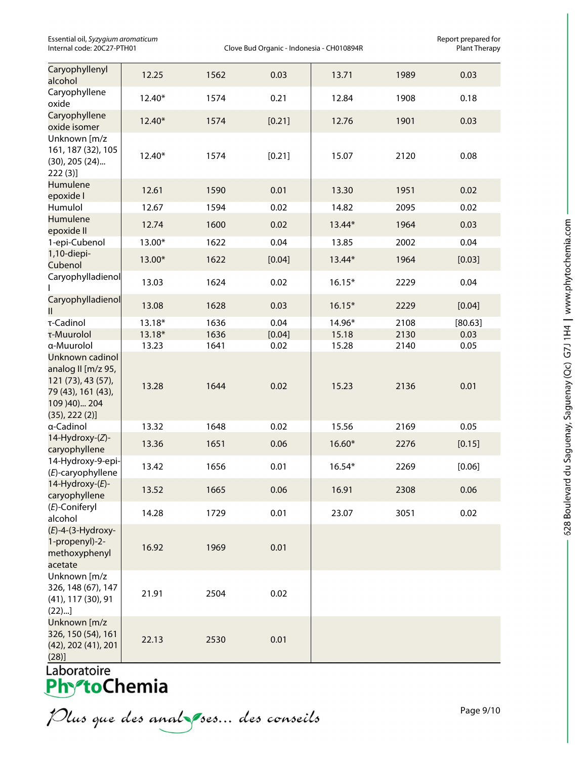Essential oil, *Syzygium aromaticum* Report prepared for

Clove Bud Organic - Indonesia - CH010894R

| Caryophyllenyl<br>alcohol                                                                                          | 12.25  | 1562 | 0.03   | 13.71    | 1989 | 0.03    |
|--------------------------------------------------------------------------------------------------------------------|--------|------|--------|----------|------|---------|
| Caryophyllene<br>oxide                                                                                             | 12.40* | 1574 | 0.21   | 12.84    | 1908 | 0.18    |
| Caryophyllene<br>oxide isomer                                                                                      | 12.40* | 1574 | [0.21] | 12.76    | 1901 | 0.03    |
| Unknown [m/z<br>161, 187 (32), 105<br>$(30)$ , 205 $(24)$<br>222(3)                                                | 12.40* | 1574 | [0.21] | 15.07    | 2120 | 0.08    |
| Humulene<br>epoxide I                                                                                              | 12.61  | 1590 | 0.01   | 13.30    | 1951 | 0.02    |
| Humulol                                                                                                            | 12.67  | 1594 | 0.02   | 14.82    | 2095 | 0.02    |
| Humulene<br>epoxide II                                                                                             | 12.74  | 1600 | 0.02   | 13.44*   | 1964 | 0.03    |
| 1-epi-Cubenol                                                                                                      | 13.00* | 1622 | 0.04   | 13.85    | 2002 | 0.04    |
| 1,10-diepi-<br>Cubenol                                                                                             | 13.00* | 1622 | [0.04] | 13.44*   | 1964 | [0.03]  |
| Caryophylladienol<br>$\mathbf{I}$                                                                                  | 13.03  | 1624 | 0.02   | $16.15*$ | 2229 | 0.04    |
| Caryophylladienol<br>Ш                                                                                             | 13.08  | 1628 | 0.03   | $16.15*$ | 2229 | [0.04]  |
| τ-Cadinol                                                                                                          | 13.18* | 1636 | 0.04   | 14.96*   | 2108 | [80.63] |
| τ-Muurolol                                                                                                         | 13.18* | 1636 | [0.04] | 15.18    | 2130 | 0.03    |
| a-Muurolol                                                                                                         | 13.23  | 1641 | 0.02   | 15.28    | 2140 | 0.05    |
| Unknown cadinol<br>analog II [m/z 95,<br>121 (73), 43 (57),<br>79 (43), 161 (43),<br>109 )40) 204<br>(35), 222(2)] | 13.28  | 1644 | 0.02   | 15.23    | 2136 | 0.01    |
| a-Cadinol                                                                                                          | 13.32  | 1648 | 0.02   | 15.56    | 2169 | 0.05    |
| 14-Hydroxy-(Z)-<br>caryophyllene                                                                                   | 13.36  | 1651 | 0.06   | 16.60*   | 2276 | [0.15]  |
| 14-Hydroxy-9-epi-<br>(E)-caryophyllene                                                                             | 13.42  | 1656 | 0.01   | 16.54*   | 2269 | [0.06]  |
| 14-Hydroxy-(E)-<br>caryophyllene                                                                                   | 13.52  | 1665 | 0.06   | 16.91    | 2308 | 0.06    |
| (E)-Coniferyl<br>alcohol                                                                                           | 14.28  | 1729 | 0.01   | 23.07    | 3051 | 0.02    |
| $(E)$ -4-(3-Hydroxy-<br>1-propenyl)-2-<br>methoxyphenyl<br>acetate                                                 | 16.92  | 1969 | 0.01   |          |      |         |
| Unknown [m/z<br>326, 148 (67), 147<br>$(41)$ , 117 $(30)$ , 91<br>(22)                                             | 21.91  | 2504 | 0.02   |          |      |         |
| Unknown [m/z<br>326, 150 (54), 161<br>(42), 202 (41), 201<br>(28)]                                                 | 22.13  | 2530 | 0.01   |          |      |         |

Laboratoire<br>**PhytoChemia**<br>*Plus que des anal ses... des conseils* 

Page 9/10